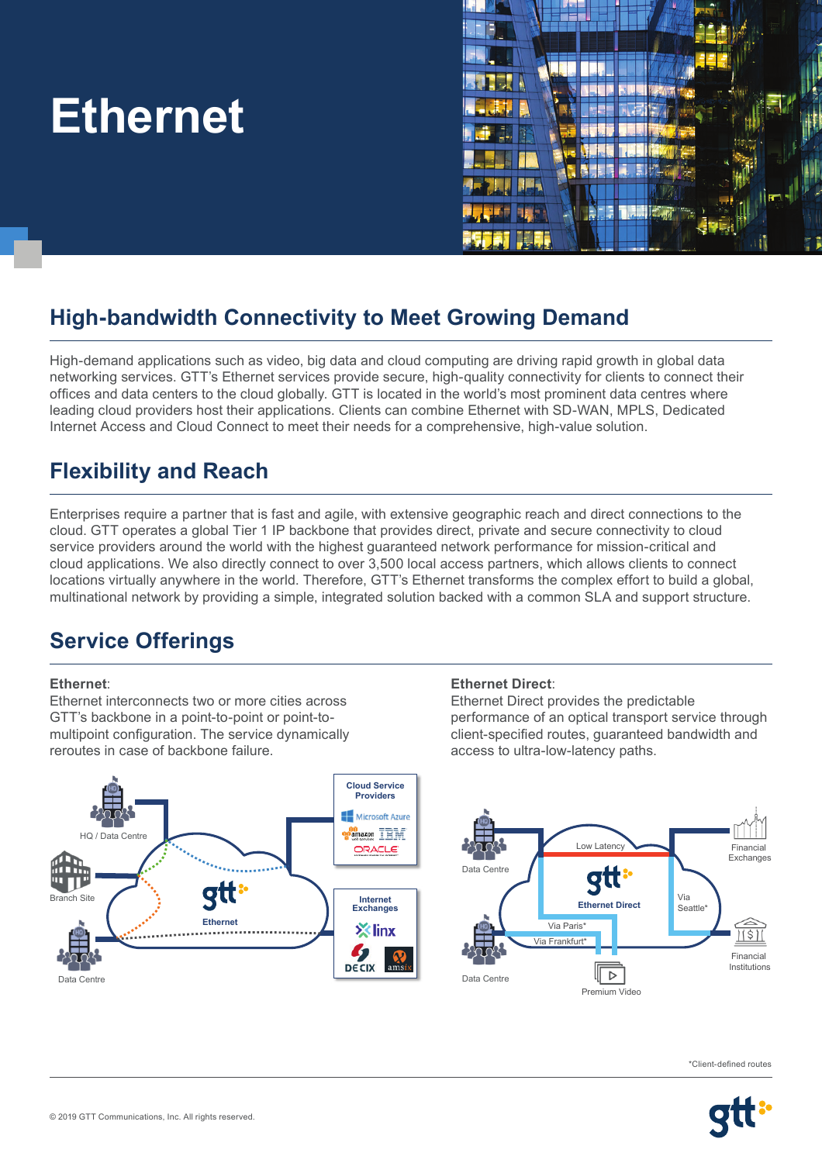# **Ethernet**



# **High-bandwidth Connectivity to Meet Growing Demand**

High-demand applications such as video, big data and cloud computing are driving rapid growth in global data networking services. GTT's Ethernet services provide secure, high-quality connectivity for clients to connect their offices and data centers to the cloud globally. GTT is located in the world's most prominent data centres where leading cloud providers host their applications. Clients can combine Ethernet with SD-WAN, MPLS, Dedicated Internet Access and Cloud Connect to meet their needs for a comprehensive, high-value solution.

# **Flexibility and Reach**

Enterprises require a partner that is fast and agile, with extensive geographic reach and direct connections to the cloud. GTT operates a global Tier 1 IP backbone that provides direct, private and secure connectivity to cloud service providers around the world with the highest guaranteed network performance for mission-critical and cloud applications. We also directly connect to over 3,500 local access partners, which allows clients to connect locations virtually anywhere in the world. Therefore, GTT's Ethernet transforms the complex effort to build a global, multinational network by providing a simple, integrated solution backed with a common SLA and support structure.

#### **Service Offerings <u>Raw Chefin</u>**

#### **Ethernet**:

Ethernet interconnects two or more cities across GTT's backbone in a point-to-point or point-tomultipoint configuration. The service dynamically reroutes in case of backbone failure.



Ethernet Direct provides the predictable **performance of an optical transport service through <br>
alient specified routes, quaranteed bandwidth and** client-specified routes, guaranteed bandwidth and access to ultra-low-latency paths.



\*Client-defined routes